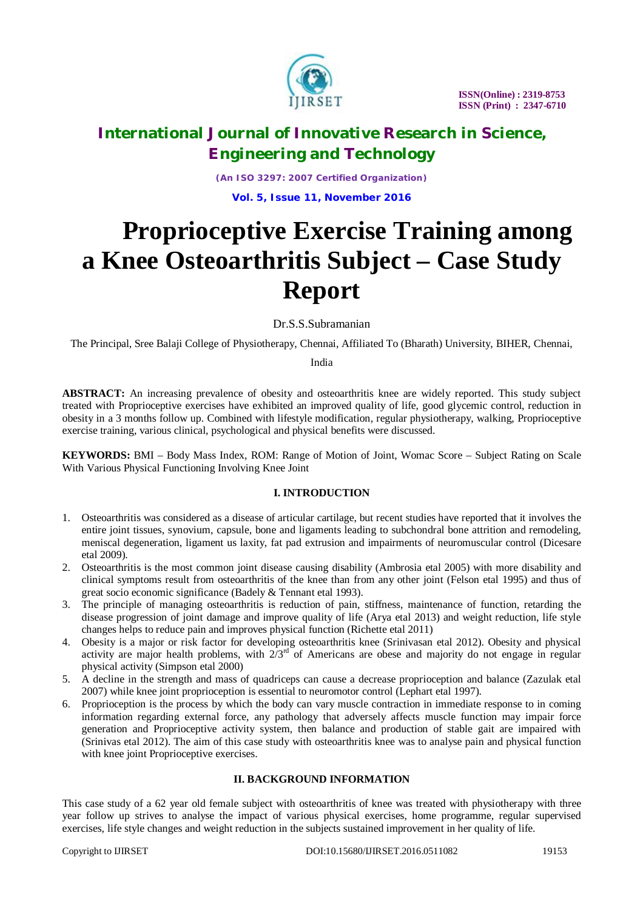

*(An ISO 3297: 2007 Certified Organization)* **Vol. 5, Issue 11, November 2016**

# **Proprioceptive Exercise Training among a Knee Osteoarthritis Subject – Case Study Report**

Dr.S.S.Subramanian

The Principal, Sree Balaji College of Physiotherapy, Chennai, Affiliated To (Bharath) University, BIHER, Chennai,

India

**ABSTRACT:** An increasing prevalence of obesity and osteoarthritis knee are widely reported. This study subject treated with Proprioceptive exercises have exhibited an improved quality of life, good glycemic control, reduction in obesity in a 3 months follow up. Combined with lifestyle modification, regular physiotherapy, walking, Proprioceptive exercise training, various clinical, psychological and physical benefits were discussed.

**KEYWORDS:** BMI – Body Mass Index, ROM: Range of Motion of Joint, Womac Score – Subject Rating on Scale With Various Physical Functioning Involving Knee Joint

# **I. INTRODUCTION**

- 1. Osteoarthritis was considered as a disease of articular cartilage, but recent studies have reported that it involves the entire joint tissues, synovium, capsule, bone and ligaments leading to subchondral bone attrition and remodeling, meniscal degeneration, ligament us laxity, fat pad extrusion and impairments of neuromuscular control (Dicesare etal 2009).
- 2. Osteoarthritis is the most common joint disease causing disability (Ambrosia etal 2005) with more disability and clinical symptoms result from osteoarthritis of the knee than from any other joint (Felson etal 1995) and thus of great socio economic significance (Badely & Tennant etal 1993).
- 3. The principle of managing osteoarthritis is reduction of pain, stiffness, maintenance of function, retarding the disease progression of joint damage and improve quality of life (Arya etal 2013) and weight reduction, life style changes helps to reduce pain and improves physical function (Richette etal 2011)
- 4. Obesity is a major or risk factor for developing osteoarthritis knee (Srinivasan etal 2012). Obesity and physical activity are major health problems, with  $2/3<sup>rd</sup>$  of Americans are obese and majority do not engage in regular physical activity (Simpson etal 2000)
- 5. A decline in the strength and mass of quadriceps can cause a decrease proprioception and balance (Zazulak etal 2007) while knee joint proprioception is essential to neuromotor control (Lephart etal 1997).
- 6. Proprioception is the process by which the body can vary muscle contraction in immediate response to in coming information regarding external force, any pathology that adversely affects muscle function may impair force generation and Proprioceptive activity system, then balance and production of stable gait are impaired with (Srinivas etal 2012). The aim of this case study with osteoarthritis knee was to analyse pain and physical function with knee joint Proprioceptive exercises.

# **II. BACKGROUND INFORMATION**

This case study of a 62 year old female subject with osteoarthritis of knee was treated with physiotherapy with three year follow up strives to analyse the impact of various physical exercises, home programme, regular supervised exercises, life style changes and weight reduction in the subjects sustained improvement in her quality of life.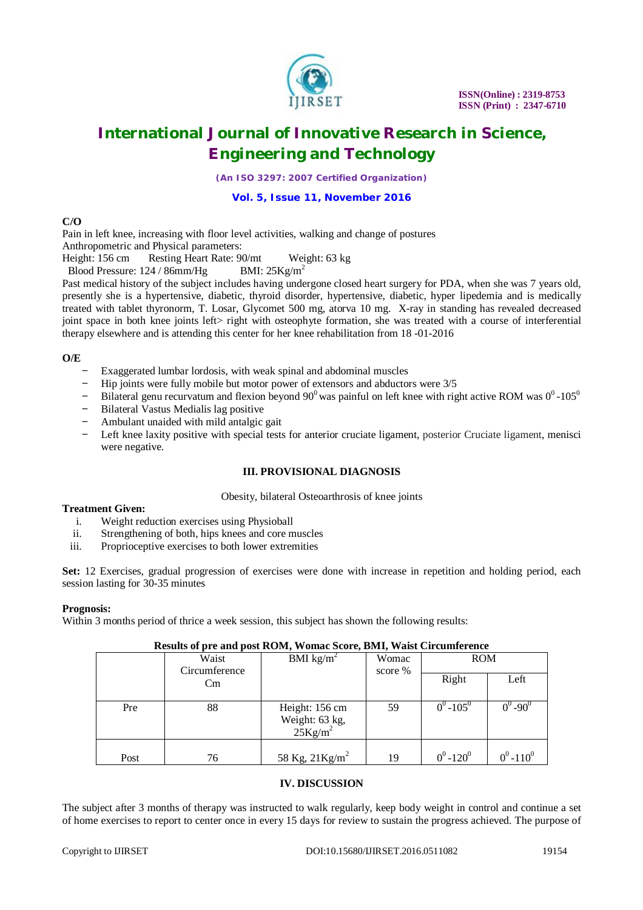

*(An ISO 3297: 2007 Certified Organization)*

# **Vol. 5, Issue 11, November 2016**

## **C/O**

Pain in left knee, increasing with floor level activities, walking and change of postures

Anthropometric and Physical parameters:<br>Height: 156 cm Resting Heart Rate: 90 Resting Heart Rate: 90/mt Weight: 63 kg

Blood Pressure:  $124 / 86$ mm/Hg BMI:  $25Kg/m^2$ 

Past medical history of the subject includes having undergone closed heart surgery for PDA, when she was 7 years old, presently she is a hypertensive, diabetic, thyroid disorder, hypertensive, diabetic, hyper lipedemia and is medically treated with tablet thyronorm, T. Losar, Glycomet 500 mg, atorva 10 mg. X-ray in standing has revealed decreased joint space in both knee joints left> right with osteophyte formation, she was treated with a course of interferential therapy elsewhere and is attending this center for her knee rehabilitation from 18 -01-2016

# **O/E**

- Exaggerated lumbar lordosis, with weak spinal and abdominal muscles
- Hip joints were fully mobile but motor power of extensors and abductors were 3/5
- Bilateral genu recurvatum and flexion beyond  $90^0$  was painful on left knee with right active ROM was  $0^0$ -105<sup>0</sup>
- − Bilateral Vastus Medialis lag positive
- − Ambulant unaided with mild antalgic gait
- Left knee laxity positive with special tests for anterior cruciate ligament, posterior Cruciate ligament, menisci were negative.

# **III. PROVISIONAL DIAGNOSIS**

#### Obesity, bilateral Osteoarthrosis of knee joints

#### **Treatment Given:**

- i. Weight reduction exercises using Physioball
- ii. Strengthening of both, hips knees and core muscles
- iii. Proprioceptive exercises to both lower extremities

**Set:** 12 Exercises, gradual progression of exercises were done with increase in repetition and holding period, each session lasting for 30-35 minutes

## **Prognosis:**

Within 3 months period of thrice a week session, this subject has shown the following results:

## **Results of pre and post ROM, Womac Score, BMI, Waist Circumference**

|      | Waist<br>Circumference | BMI $\text{kg/m}^2$                                               | Womac<br>score % | <b>ROM</b>    |               |
|------|------------------------|-------------------------------------------------------------------|------------------|---------------|---------------|
|      | Cm                     |                                                                   |                  | Right         | Left          |
| Pre  | 88                     | Height: 156 cm<br>Weight: $63 \text{ kg}$ ,<br>$25 \text{Kg/m}^2$ | 59               | $0^0 - 105^0$ | $0^0 - 90^0$  |
| Post | 76                     | 58 Kg, $21$ Kg/m <sup>2</sup>                                     | 19               | $0^0 - 120^0$ | $0^0 - 110^0$ |

## **IV. DISCUSSION**

The subject after 3 months of therapy was instructed to walk regularly, keep body weight in control and continue a set of home exercises to report to center once in every 15 days for review to sustain the progress achieved. The purpose of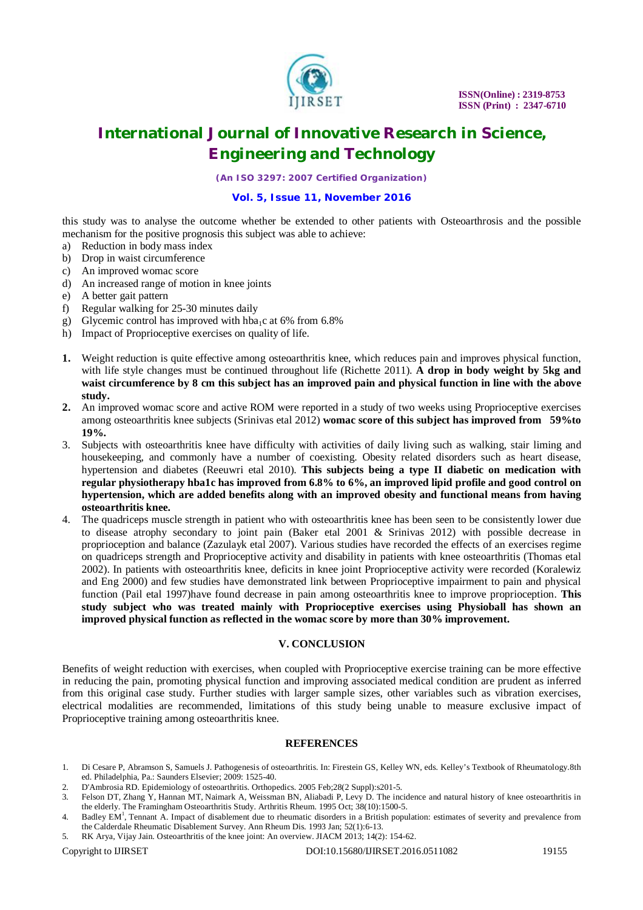

*(An ISO 3297: 2007 Certified Organization)*

# **Vol. 5, Issue 11, November 2016**

this study was to analyse the outcome whether be extended to other patients with Osteoarthrosis and the possible mechanism for the positive prognosis this subject was able to achieve:

- a) Reduction in body mass index
- b) Drop in waist circumference
- c) An improved womac score
- d) An increased range of motion in knee joints
- e) A better gait pattern
- f) Regular walking for 25-30 minutes daily
- g) Glycemic control has improved with hba<sub>1</sub>c at 6% from 6.8%
- h) Impact of Proprioceptive exercises on quality of life.
- **1.** Weight reduction is quite effective among osteoarthritis knee, which reduces pain and improves physical function, with life style changes must be continued throughout life (Richette 2011). **A drop in body weight by 5kg and waist circumference by 8 cm this subject has an improved pain and physical function in line with the above study.**
- **2.** An improved womac score and active ROM were reported in a study of two weeks using Proprioceptive exercises among osteoarthritis knee subjects (Srinivas etal 2012) **womac score of this subject has improved from 59%to 19%.**
- 3. Subjects with osteoarthritis knee have difficulty with activities of daily living such as walking, stair liming and housekeeping, and commonly have a number of coexisting. Obesity related disorders such as heart disease, hypertension and diabetes (Reeuwri etal 2010). **This subjects being a type II diabetic on medication with regular physiotherapy hba1c has improved from 6.8% to 6%, an improved lipid profile and good control on hypertension, which are added benefits along with an improved obesity and functional means from having osteoarthritis knee.**
- 4. The quadriceps muscle strength in patient who with osteoarthritis knee has been seen to be consistently lower due to disease atrophy secondary to joint pain (Baker etal 2001 & Srinivas 2012) with possible decrease in proprioception and balance (Zazulayk etal 2007). Various studies have recorded the effects of an exercises regime on quadriceps strength and Proprioceptive activity and disability in patients with knee osteoarthritis (Thomas etal 2002). In patients with osteoarthritis knee, deficits in knee joint Proprioceptive activity were recorded (Koralewiz and Eng 2000) and few studies have demonstrated link between Proprioceptive impairment to pain and physical function (Pail etal 1997)have found decrease in pain among osteoarthritis knee to improve proprioception. **This study subject who was treated mainly with Proprioceptive exercises using Physioball has shown an improved physical function as reflected in the womac score by more than 30% improvement.**

## **V. CONCLUSION**

Benefits of weight reduction with exercises, when coupled with Proprioceptive exercise training can be more effective in reducing the pain, promoting physical function and improving associated medical condition are prudent as inferred from this original case study. Further studies with larger sample sizes, other variables such as vibration exercises, electrical modalities are recommended, limitations of this study being unable to measure exclusive impact of Proprioceptive training among osteoarthritis knee.

#### **REFERENCES**

- 1. Di Cesare P, Abramson S, Samuels J. Pathogenesis of osteoarthritis. In: Firestein GS, Kelley WN, eds. Kelley's Textbook of Rheumatology.8th ed. Philadelphia, Pa.: Saunders Elsevier; 2009: 1525-40.
- 2. D'Ambrosia RD. Epidemiology of osteoarthritis. Orthopedics. 2005 Feb;28(2 Suppl):s201-5.
- 3. Felson DT, Zhang Y, Hannan MT, Naimark A, Weissman BN, Aliabadi P, Levy D. The incidence and natural history of knee osteoarthritis in the elderly. The Framingham Osteoarthritis Study. Arthritis Rheum. 1995 Oct; 38(10):1500-5.
- 4. Badley EM<sup>1</sup>, Tennant A. Impact of disablement due to rheumatic disorders in a British population: estimates of severity and prevalence from the Calderdale Rheumatic Disablement Survey. Ann Rheum Dis. 1993 Jan; 52(1):6-13.
- 5. RK Arya, Vijay Jain. Osteoarthritis of the knee joint: An overview. JIACM 2013; 14(2): 154-62.